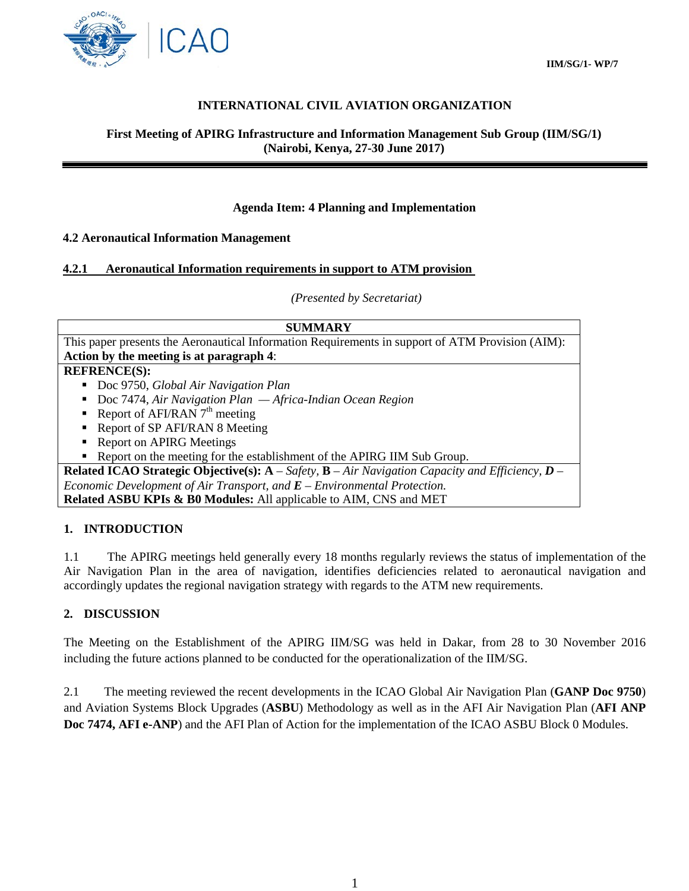

## **INTERNATIONAL CIVIL AVIATION ORGANIZATION**

#### **First Meeting of APIRG Infrastructure and Information Management Sub Group (IIM/SG/1) (Nairobi, Kenya, 27-30 June 2017)**

### **Agenda Item: 4 Planning and Implementation**

#### **4.2 Aeronautical Information Management**

#### **4.2.1 Aeronautical Information requirements in support to ATM provision**

*(Presented by Secretariat)*

#### **SUMMARY**

This paper presents the Aeronautical Information Requirements in support of ATM Provision (AIM): **Action by the meeting is at paragraph 4**:

### **REFRENCE(S):**

- Doc 9750, *Global Air Navigation Plan*
- Doc 7474, *Air Navigation Plan Africa-Indian Ocean Region*
- Report of AFI/RAN  $7<sup>th</sup>$  meeting
- Report of SP AFI/RAN 8 Meeting
- Report on APIRG Meetings
- Report on the meeting for the establishment of the APIRG IIM Sub Group.

**Related ICAO Strategic Objective(s): A** – *Safety,* **B** – *Air Navigation Capacity and Efficiency, D – Economic Development of Air Transport, and E – Environmental Protection.* **Related ASBU KPIs & B0 Modules:** All applicable to AIM, CNS and MET

#### **1. INTRODUCTION**

1.1 The APIRG meetings held generally every 18 months regularly reviews the status of implementation of the Air Navigation Plan in the area of navigation, identifies deficiencies related to aeronautical navigation and accordingly updates the regional navigation strategy with regards to the ATM new requirements.

#### **2. DISCUSSION**

The Meeting on the Establishment of the APIRG IIM/SG was held in Dakar, from 28 to 30 November 2016 including the future actions planned to be conducted for the operationalization of the IIM/SG.

2.1 The meeting reviewed the recent developments in the ICAO Global Air Navigation Plan (**GANP Doc 9750**) and Aviation Systems Block Upgrades (**ASBU**) Methodology as well as in the AFI Air Navigation Plan (**AFI ANP Doc 7474, AFI e-ANP**) and the AFI Plan of Action for the implementation of the ICAO ASBU Block 0 Modules.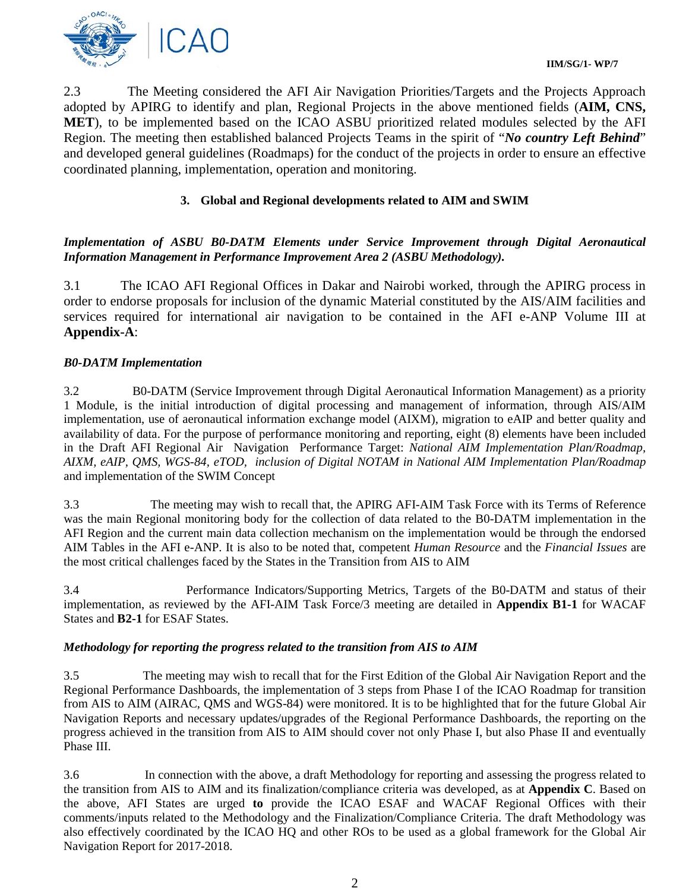

2.3 The Meeting considered the AFI Air Navigation Priorities/Targets and the Projects Approach adopted by APIRG to identify and plan, Regional Projects in the above mentioned fields (**AIM, CNS, MET**), to be implemented based on the ICAO ASBU prioritized related modules selected by the AFI Region. The meeting then established balanced Projects Teams in the spirit of "*No country Left Behind*" and developed general guidelines (Roadmaps) for the conduct of the projects in order to ensure an effective coordinated planning, implementation, operation and monitoring.

# **3. Global and Regional developments related to AIM and SWIM**

## *Implementation of ASBU B0-DATM Elements under Service Improvement through Digital Aeronautical Information Management in Performance Improvement Area 2 (ASBU Methodology).*

3.1 The ICAO AFI Regional Offices in Dakar and Nairobi worked, through the APIRG process in order to endorse proposals for inclusion of the dynamic Material constituted by the AIS/AIM facilities and services required for international air navigation to be contained in the AFI e-ANP Volume III at **Appendix-A**:

### *B0-DATM Implementation*

3.2 B0-DATM (Service Improvement through Digital Aeronautical Information Management) as a priority 1 Module, is the initial introduction of digital processing and management of information, through AIS/AIM implementation, use of aeronautical information exchange model (AIXM), migration to eAIP and better quality and availability of data. For the purpose of performance monitoring and reporting, eight (8) elements have been included in the Draft AFI Regional Air Navigation Performance Target: *National AIM Implementation Plan/Roadmap, AIXM, eAIP, QMS, WGS-84, eTOD, inclusion of Digital NOTAM in National AIM Implementation Plan/Roadmap* and implementation of the SWIM Concept

3.3 The meeting may wish to recall that, the APIRG AFI-AIM Task Force with its Terms of Reference was the main Regional monitoring body for the collection of data related to the B0-DATM implementation in the AFI Region and the current main data collection mechanism on the implementation would be through the endorsed AIM Tables in the AFI e-ANP. It is also to be noted that, competent *Human Resource* and the *Financial Issues* are the most critical challenges faced by the States in the Transition from AIS to AIM

3.4 Performance Indicators/Supporting Metrics, Targets of the B0-DATM and status of their implementation, as reviewed by the AFI-AIM Task Force/3 meeting are detailed in **Appendix B1-1** for WACAF States and **B2-1** for ESAF States.

### *Methodology for reporting the progress related to the transition from AIS to AIM*

3.5 The meeting may wish to recall that for the First Edition of the Global Air Navigation Report and the Regional Performance Dashboards, the implementation of 3 steps from Phase I of the ICAO Roadmap for transition from AIS to AIM (AIRAC, QMS and WGS-84) were monitored. It is to be highlighted that for the future Global Air Navigation Reports and necessary updates/upgrades of the Regional Performance Dashboards, the reporting on the progress achieved in the transition from AIS to AIM should cover not only Phase I, but also Phase II and eventually Phase III.

3.6 In connection with the above, a draft Methodology for reporting and assessing the progress related to the transition from AIS to AIM and its finalization/compliance criteria was developed, as at **Appendix C**. Based on the above, AFI States are urged **to** provide the ICAO ESAF and WACAF Regional Offices with their comments/inputs related to the Methodology and the Finalization/Compliance Criteria. The draft Methodology was also effectively coordinated by the ICAO HQ and other ROs to be used as a global framework for the Global Air Navigation Report for 2017-2018.